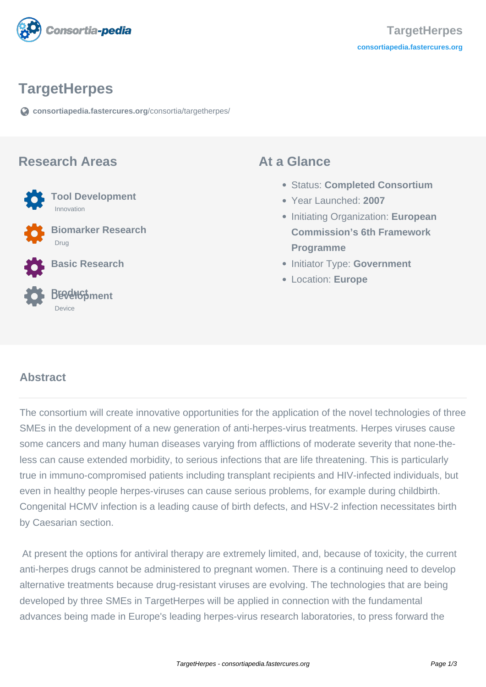

## **TargetHerpes**

**[consortiapedia.fastercures.org](https://consortiapedia.fastercures.org/consortia/targetherpes/)**[/consortia/targetherpes/](https://consortiapedia.fastercures.org/consortia/targetherpes/)

#### **Research Areas**



 **Biomarker Research** Drug

**Basic Research**

#### **Product Development** Device

#### **At a Glance**

- Status: **Completed Consortium**
- Year Launched: **2007**
- **Initiating Organization: European Commission's 6th Framework Programme**
- **Initiator Type: Government**
- Location: **Europe**

#### $\overline{a}$ **Abstract**

The consortium will create innovative opportunities for the application of the novel technologies of three SMEs in the development of a new generation of anti-herpes-virus treatments. Herpes viruses cause some cancers and many human diseases varying from afflictions of moderate severity that none-theless can cause extended morbidity, to serious infections that are life threatening. This is particularly true in immuno-compromised patients including transplant recipients and HIV-infected individuals, but even in healthy people herpes-viruses can cause serious problems, for example during childbirth. Congenital HCMV infection is a leading cause of birth defects, and HSV-2 infection necessitates birth by Caesarian section.

 At present the options for antiviral therapy are extremely limited, and, because of toxicity, the current anti-herpes drugs cannot be administered to pregnant women. There is a continuing need to develop alternative treatments because drug-resistant viruses are evolving. The technologies that are being developed by three SMEs in TargetHerpes will be applied in connection with the fundamental advances being made in Europe's leading herpes-virus research laboratories, to press forward the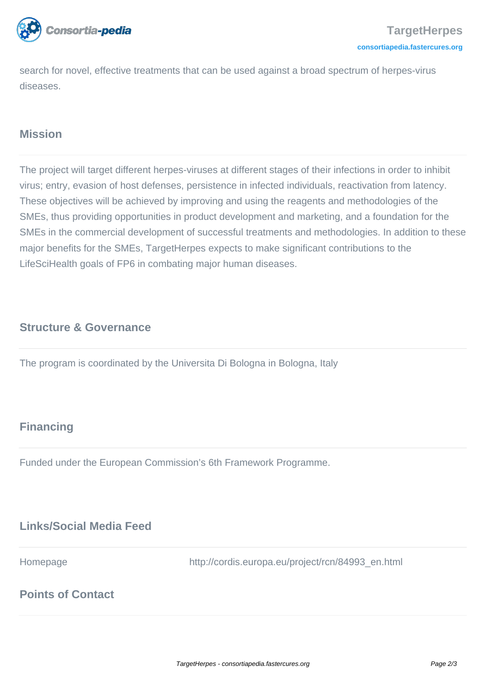

search for novel, effective treatments that can be used against a broad spectrum of herpes-virus diseases.

## **Mission**

The project will target different herpes-viruses at different stages of their infections in order to inhibit virus; entry, evasion of host defenses, persistence in infected individuals, reactivation from latency. These objectives will be achieved by improving and using the reagents and methodologies of the SMEs, thus providing opportunities in product development and marketing, and a foundation for the SMEs in the commercial development of successful treatments and methodologies. In addition to these major benefits for the SMEs, TargetHerpes expects to make significant contributions to the LifeSciHealth goals of FP6 in combating major human diseases.

## **Structure & Governance**

The program is coordinated by the Universita Di Bologna in Bologna, Italy

# **Financing**

Funded under the European Commission's 6th Framework Programme.

## **Links/Social Media Feed**

Homepage http://cordis.europa.eu/project/rcn/84993\_en.html

# **Points of Contact**